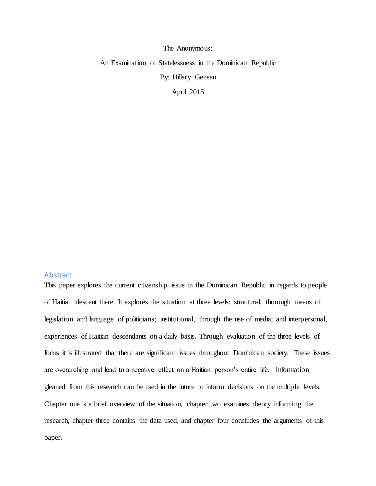The Anonymous:

An Examination of Statelessness in the Dominican Republic

By: Hillary Geneau

April 2015

# **Abstract**

This paper explores the current citizenship issue in the Dominican Republic in regards to people of Haitian descent there. It explores the situation at three levels: structural, thorough means of legislation and language of politicians; institutional, through the use of media; and interpersonal, experiences of Haitian descendants on a daily basis. Through evaluation of the three levels of focus it is illustrated that there are significant issues throughout Dominican society. These issues are overarching and lead to a negative effect on a Haitian person's entire life. Information gleaned from this research can be used in the future to inform decisions on the multiple levels. Chapter one is a brief overview of the situation, chapter two examines theory informing the research, chapter three contains the data used, and chapter four concludes the arguments of this paper.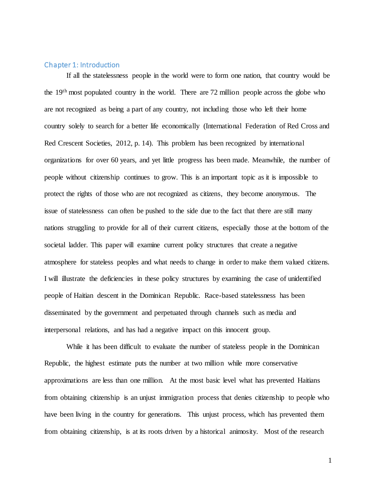# Chapter 1: Introduction

If all the statelessness people in the world were to form one nation, that country would be the 19th most populated country in the world. There are 72 million people across the globe who are not recognized as being a part of any country, not including those who left their home country solely to search for a better life economically (International Federation of Red Cross and Red Crescent Societies, 2012, p. 14). This problem has been recognized by international organizations for over 60 years, and yet little progress has been made. Meanwhile, the number of people without citizenship continues to grow. This is an important topic as it is impossible to protect the rights of those who are not recognized as citizens, they become anonymous. The issue of statelessness can often be pushed to the side due to the fact that there are still many nations struggling to provide for all of their current citizens, especially those at the bottom of the societal ladder. This paper will examine current policy structures that create a negative atmosphere for stateless peoples and what needs to change in order to make them valued citizens. I will illustrate the deficiencies in these policy structures by examining the case of unidentified people of Haitian descent in the Dominican Republic. Race-based statelessness has been disseminated by the government and perpetuated through channels such as media and interpersonal relations, and has had a negative impact on this innocent group.

While it has been difficult to evaluate the number of stateless people in the Dominican Republic, the highest estimate puts the number at two million while more conservative approximations are less than one million. At the most basic level what has prevented Haitians from obtaining citizenship is an unjust immigration process that denies citizenship to people who have been living in the country for generations. This unjust process, which has prevented them from obtaining citizenship, is at its roots driven by a historical animosity. Most of the research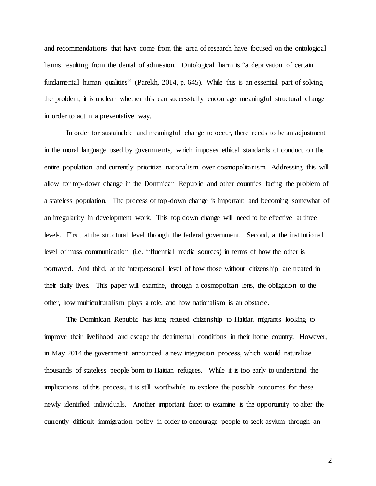and recommendations that have come from this area of research have focused on the ontological harms resulting from the denial of admission. Ontological harm is "a deprivation of certain fundamental human qualities" (Parekh, 2014, p. 645). While this is an essential part of solving the problem, it is unclear whether this can successfully encourage meaningful structural change in order to act in a preventative way.

In order for sustainable and meaningful change to occur, there needs to be an adjustment in the moral language used by governments, which imposes ethical standards of conduct on the entire population and currently prioritize nationalism over cosmopolitanism. Addressing this will allow for top-down change in the Dominican Republic and other countries facing the problem of a stateless population. The process of top-down change is important and becoming somewhat of an irregularity in development work. This top down change will need to be effective at three levels. First, at the structural level through the federal government. Second, at the institutional level of mass communication (i.e. influential media sources) in terms of how the other is portrayed. And third, at the interpersonal level of how those without citizenship are treated in their daily lives. This paper will examine, through a cosmopolitan lens, the obligation to the other, how multiculturalism plays a role, and how nationalism is an obstacle.

The Dominican Republic has long refused citizenship to Haitian migrants looking to improve their livelihood and escape the detrimental conditions in their home country. However, in May 2014 the government announced a new integration process, which would naturalize thousands of stateless people born to Haitian refugees. While it is too early to understand the implications of this process, it is still worthwhile to explore the possible outcomes for these newly identified individuals. Another important facet to examine is the opportunity to alter the currently difficult immigration policy in order to encourage people to seek asylum through an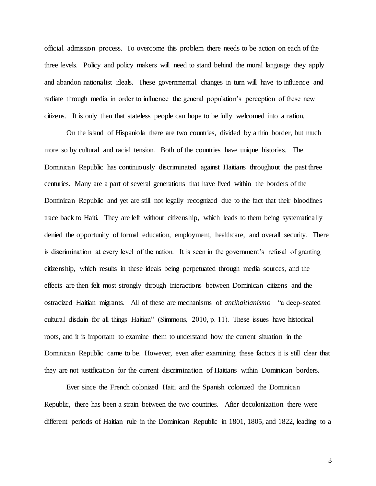official admission process. To overcome this problem there needs to be action on each of the three levels. Policy and policy makers will need to stand behind the moral language they apply and abandon nationalist ideals. These governmental changes in turn will have to influence and radiate through media in order to influence the general population's perception of these new citizens. It is only then that stateless people can hope to be fully welcomed into a nation.

On the island of Hispaniola there are two countries, divided by a thin border, but much more so by cultural and racial tension. Both of the countries have unique histories. The Dominican Republic has continuously discriminated against Haitians throughout the past three centuries. Many are a part of several generations that have lived within the borders of the Dominican Republic and yet are still not legally recognized due to the fact that their bloodlines trace back to Haiti. They are left without citizenship, which leads to them being systematically denied the opportunity of formal education, employment, healthcare, and overall security. There is discrimination at every level of the nation. It is seen in the government's refusal of granting citizenship, which results in these ideals being perpetuated through media sources, and the effects are then felt most strongly through interactions between Dominican citizens and the ostracized Haitian migrants. All of these are mechanisms of *antihaitianismo* – "a deep-seated cultural disdain for all things Haitian" (Simmons, 2010, p. 11). These issues have historical roots, and it is important to examine them to understand how the current situation in the Dominican Republic came to be. However, even after examining these factors it is still clear that they are not justification for the current discrimination of Haitians within Dominican borders.

Ever since the French colonized Haiti and the Spanish colonized the Dominican Republic, there has been a strain between the two countries. After decolonization there were different periods of Haitian rule in the Dominican Republic in 1801, 1805, and 1822, leading to a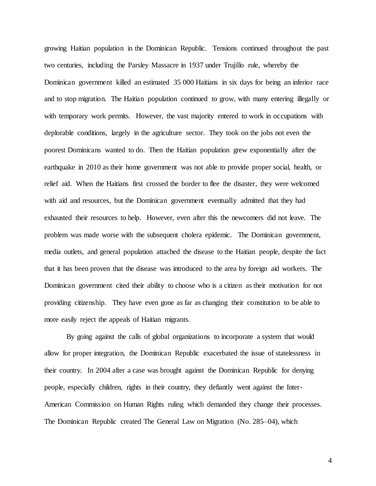growing Haitian population in the Dominican Republic. Tensions continued throughout the past two centuries, including the Parsley Massacre in 1937 under Trujillo rule, whereby the Dominican government killed an estimated 35 000 Haitians in six days for being an inferior race and to stop migration. The Haitian population continued to grow, with many entering illegally or with temporary work permits. However, the vast majority entered to work in occupations with deplorable conditions, largely in the agriculture sector. They took on the jobs not even the poorest Dominicans wanted to do. Then the Haitian population grew exponentially after the earthquake in 2010 as their home government was not able to provide proper social, health, or relief aid. When the Haitians first crossed the border to flee the disaster, they were welcomed with aid and resources, but the Dominican government eventually admitted that they had exhausted their resources to help. However, even after this the newcomers did not leave. The problem was made worse with the subsequent cholera epidemic. The Dominican government, media outlets, and general population attached the disease to the Haitian people, despite the fact that it has been proven that the disease was introduced to the area by foreign aid workers. The Dominican government cited their ability to choose who is a citizen as their motivation for not providing citizenship. They have even gone as far as changing their constitution to be able to more easily reject the appeals of Haitian migrants.

By going against the calls of global organizations to incorporate a system that would allow for proper integration, the Dominican Republic exacerbated the issue of statelessness in their country. In 2004 after a case was brought against the Dominican Republic for denying people, especially children, rights in their country, they defiantly went against the Inter-American Commission on Human Rights ruling which demanded they change their processes. The Dominican Republic created The General Law on Migration (No. 285–04), which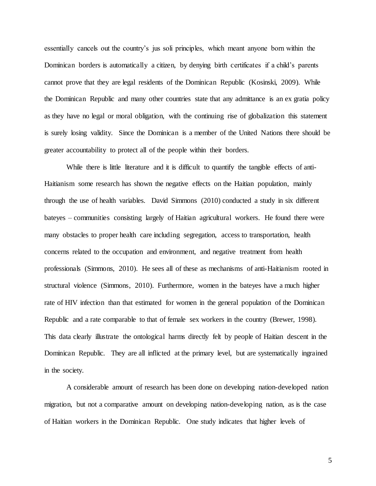essentially cancels out the country's jus soli principles, which meant anyone born within the Dominican borders is automatically a citizen, by denying birth certificates if a child's parents cannot prove that they are legal residents of the Dominican Republic (Kosinski, 2009). While the Dominican Republic and many other countries state that any admittance is an ex gratia policy as they have no legal or moral obligation, with the continuing rise of globalization this statement is surely losing validity. Since the Dominican is a member of the United Nations there should be greater accountability to protect all of the people within their borders.

While there is little literature and it is difficult to quantify the tangible effects of anti-Haitianism some research has shown the negative effects on the Haitian population, mainly through the use of health variables. David Simmons (2010) conducted a study in six different bateyes – communities consisting largely of Haitian agricultural workers. He found there were many obstacles to proper health care including segregation, access to transportation, health concerns related to the occupation and environment, and negative treatment from health professionals (Simmons, 2010). He sees all of these as mechanisms of anti-Haitianism rooted in structural violence (Simmons, 2010). Furthermore, women in the bateyes have a much higher rate of HIV infection than that estimated for women in the general population of the Dominican Republic and a rate comparable to that of female sex workers in the country (Brewer, 1998). This data clearly illustrate the ontological harms directly felt by people of Haitian descent in the Dominican Republic. They are all inflicted at the primary level, but are systematically ingrained in the society.

A considerable amount of research has been done on developing nation-developed nation migration, but not a comparative amount on developing nation-developing nation, as is the case of Haitian workers in the Dominican Republic. One study indicates that higher levels of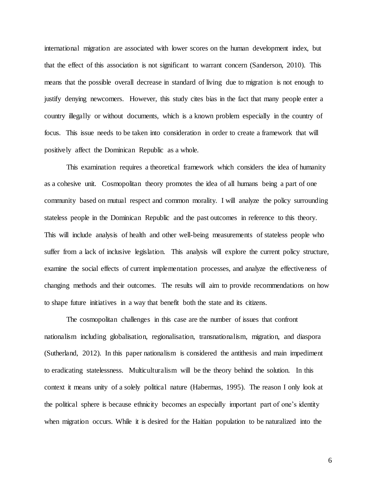international migration are associated with lower scores on the human development index, but that the effect of this association is not significant to warrant concern (Sanderson, 2010). This means that the possible overall decrease in standard of living due to migration is not enough to justify denying newcomers. However, this study cites bias in the fact that many people enter a country illegally or without documents, which is a known problem especially in the country of focus. This issue needs to be taken into consideration in order to create a framework that will positively affect the Dominican Republic as a whole.

This examination requires a theoretical framework which considers the idea of humanity as a cohesive unit. Cosmopolitan theory promotes the idea of all humans being a part of one community based on mutual respect and common morality. I will analyze the policy surrounding stateless people in the Dominican Republic and the past outcomes in reference to this theory. This will include analysis of health and other well-being measurements of stateless people who suffer from a lack of inclusive legislation. This analysis will explore the current policy structure, examine the social effects of current implementation processes, and analyze the effectiveness of changing methods and their outcomes. The results will aim to provide recommendations on how to shape future initiatives in a way that benefit both the state and its citizens.

The cosmopolitan challenges in this case are the number of issues that confront nationalism including globalisation, regionalisation, transnationalism, migration, and diaspora (Sutherland, 2012). In this paper nationalism is considered the antithesis and main impediment to eradicating statelessness. Multiculturalism will be the theory behind the solution. In this context it means unity of a solely political nature (Habermas, 1995). The reason I only look at the political sphere is because ethnicity becomes an especially important part of one's identity when migration occurs. While it is desired for the Haitian population to be naturalized into the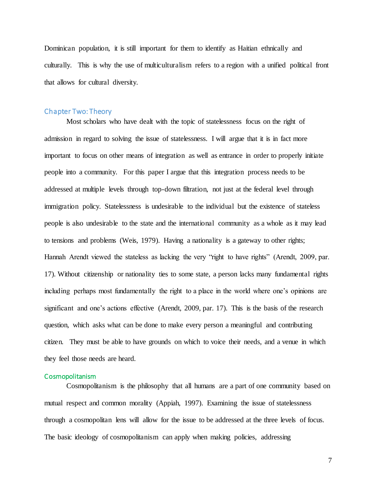Dominican population, it is still important for them to identify as Haitian ethnically and culturally. This is why the use of multiculturalism refers to a region with a unified political front that allows for cultural diversity.

# Chapter Two: Theory

Most scholars who have dealt with the topic of statelessness focus on the right of admission in regard to solving the issue of statelessness. I will argue that it is in fact more important to focus on other means of integration as well as entrance in order to properly initiate people into a community. For this paper I argue that this integration process needs to be addressed at multiple levels through top-down filtration, not just at the federal level through immigration policy. Statelessness is undesirable to the individual but the existence of stateless people is also undesirable to the state and the international community as a whole as it may lead to tensions and problems (Weis, 1979). Having a nationality is a gateway to other rights; Hannah Arendt viewed the stateless as lacking the very "right to have rights" (Arendt, 2009, par. 17). Without citizenship or nationality ties to some state, a person lacks many fundamental rights including perhaps most fundamentally the right to a place in the world where one's opinions are significant and one's actions effective (Arendt, 2009, par. 17). This is the basis of the research question, which asks what can be done to make every person a meaningful and contributing citizen. They must be able to have grounds on which to voice their needs, and a venue in which they feel those needs are heard.

## Cosmopolitanism

Cosmopolitanism is the philosophy that all humans are a part of one community based on mutual respect and common morality (Appiah, 1997). Examining the issue of statelessness through a cosmopolitan lens will allow for the issue to be addressed at the three levels of focus. The basic ideology of cosmopolitanism can apply when making policies, addressing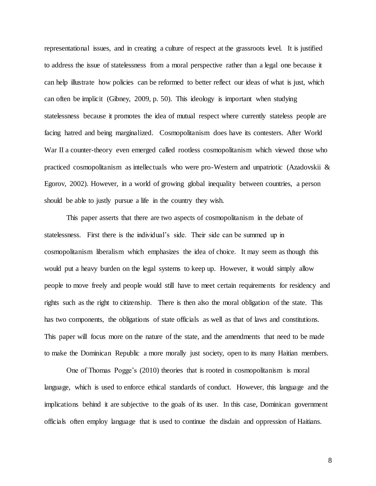representational issues, and in creating a culture of respect at the grassroots level. It is justified to address the issue of statelessness from a moral perspective rather than a legal one because it can help illustrate how policies can be reformed to better reflect our ideas of what is just, which can often be implicit (Gibney, 2009, p. 50). This ideology is important when studying statelessness because it promotes the idea of mutual respect where currently stateless people are facing hatred and being marginalized. Cosmopolitanism does have its contesters. After World War II a counter-theory even emerged called rootless cosmopolitanism which viewed those who practiced cosmopolitanism as intellectuals who were pro-Western and unpatriotic (Azadovskii & Egorov, 2002). However, in a world of growing global inequality between countries, a person should be able to justly pursue a life in the country they wish.

This paper asserts that there are two aspects of cosmopolitanism in the debate of statelessness. First there is the individual's side. Their side can be summed up in cosmopolitanism liberalism which emphasizes the idea of choice. It may seem as though this would put a heavy burden on the legal systems to keep up. However, it would simply allow people to move freely and people would still have to meet certain requirements for residency and rights such as the right to citizenship. There is then also the moral obligation of the state. This has two components, the obligations of state officials as well as that of laws and constitutions. This paper will focus more on the nature of the state, and the amendments that need to be made to make the Dominican Republic a more morally just society, open to its many Haitian members.

One of Thomas Pogge's (2010) theories that is rooted in cosmopolitanism is moral language, which is used to enforce ethical standards of conduct. However, this language and the implications behind it are subjective to the goals of its user. In this case, Dominican government officials often employ language that is used to continue the disdain and oppression of Haitians.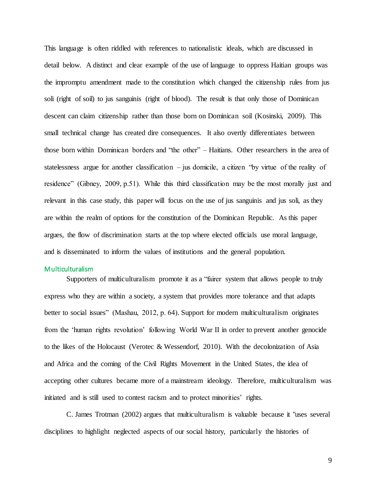This language is often riddled with references to nationalistic ideals, which are discussed in detail below. A distinct and clear example of the use of language to oppress Haitian groups was the impromptu amendment made to the constitution which changed the citizenship rules from jus soli (right of soil) to jus sanguinis (right of blood). The result is that only those of Dominican descent can claim citizenship rather than those born on Dominican soil (Kosinski, 2009). This small technical change has created dire consequences. It also overtly differentiates between those born within Dominican borders and "the other" – Haitians. Other researchers in the area of statelessness argue for another classification – jus domicile, a citizen "by virtue of the reality of residence" (Gibney, 2009, p.51). While this third classification may be the most morally just and relevant in this case study, this paper will focus on the use of jus sanguinis and jus soli, as they are within the realm of options for the constitution of the Dominican Republic. As this paper argues, the flow of discrimination starts at the top where elected officials use moral language, and is disseminated to inform the values of institutions and the general population.

#### Multiculturalism

Supporters of multiculturalism promote it as a "fairer system that allows people to truly express who they are within a society, a system that provides more tolerance and that adapts better to social issues" (Mashau, 2012, p. 64). Support for modern multiculturalism originates from the 'human rights revolution' following World War II in order to prevent another genocide to the likes of the Holocaust (Verotec & Wessendorf, 2010). With the decolonization of Asia and Africa and the coming of the Civil Rights Movement in the United States, the idea of accepting other cultures became more of a mainstream ideology. Therefore, multiculturalism was initiated and is still used to contest racism and to protect minorities' rights.

C. James Trotman (2002) argues that multiculturalism is valuable because it "uses several disciplines to highlight neglected aspects of our social history, particularly the histories of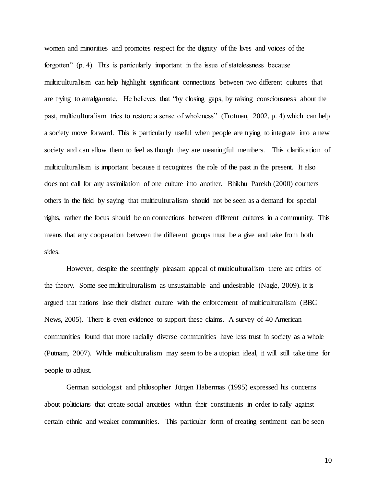women and minorities and promotes respect for the dignity of the lives and voices of the forgotten" (p. 4). This is particularly important in the issue of statelessness because multiculturalism can help highlight significant connections between two different cultures that are trying to amalgamate. He believes that "by closing gaps, by raising consciousness about the past, multiculturalism tries to restore a sense of wholeness" (Trotman, 2002, p. 4) which can help a society move forward. This is particularly useful when people are trying to integrate into a new society and can allow them to feel as though they are meaningful members. This clarification of multiculturalism is important because it recognizes the role of the past in the present. It also does not call for any assimilation of one culture into another. Bhikhu Parekh (2000) counters others in the field by saying that multiculturalism should not be seen as a demand for special rights, rather the focus should be on connections between different cultures in a community. This means that any cooperation between the different groups must be a give and take from both sides.

However, despite the seemingly pleasant appeal of multiculturalism there are critics of the theory. Some see multiculturalism as unsustainable and undesirable (Nagle, 2009). It is argued that nations lose their distinct culture with the enforcement of multiculturalism (BBC News, 2005). There is even evidence to support these claims. A survey of 40 American communities found that more racially diverse communities have less trust in society as a whole (Putnam, 2007). While multiculturalism may seem to be a utopian ideal, it will still take time for people to adjust.

German sociologist and philosopher Jürgen Habermas (1995) expressed his concerns about politicians that create social anxieties within their constituents in order to rally against certain ethnic and weaker communities. This particular form of creating sentiment can be seen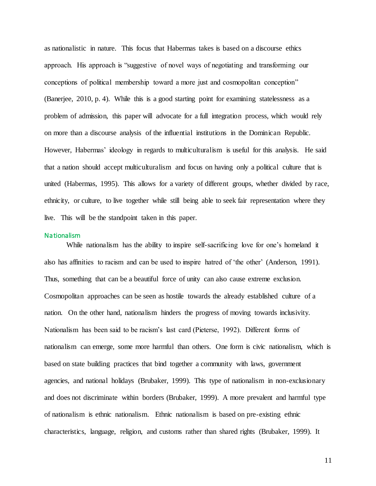as nationalistic in nature. This focus that Habermas takes is based on a discourse ethics approach. His approach is "suggestive of novel ways of negotiating and transforming our conceptions of political membership toward a more just and cosmopolitan conception" (Banerjee, 2010, p. 4). While this is a good starting point for examining statelessness as a problem of admission, this paper will advocate for a full integration process, which would rely on more than a discourse analysis of the influential institutions in the Dominican Republic. However, Habermas' ideology in regards to multiculturalism is useful for this analysis. He said that a nation should accept multiculturalism and focus on having only a political culture that is united (Habermas, 1995). This allows for a variety of different groups, whether divided by race, ethnicity, or culture, to live together while still being able to seek fair representation where they live. This will be the standpoint taken in this paper.

### **Nationalism**

While nationalism has the ability to inspire self-sacrificing love for one's homeland it also has affinities to racism and can be used to inspire hatred of 'the other' (Anderson, 1991). Thus, something that can be a beautiful force of unity can also cause extreme exclusion. Cosmopolitan approaches can be seen as hostile towards the already established culture of a nation. On the other hand, nationalism hinders the progress of moving towards inclusivity. Nationalism has been said to be racism's last card (Pieterse, 1992). Different forms of nationalism can emerge, some more harmful than others. One form is civic nationalism, which is based on state building practices that bind together a community with laws, government agencies, and national holidays (Brubaker, 1999). This type of nationalism in non-exclusionary and does not discriminate within borders (Brubaker, 1999). A more prevalent and harmful type of nationalism is ethnic nationalism. Ethnic nationalism is based on pre-existing ethnic characteristics, language, religion, and customs rather than shared rights (Brubaker, 1999). It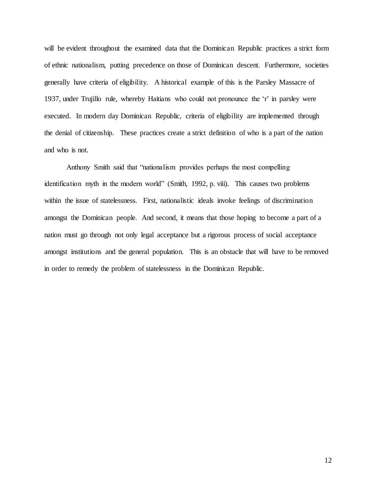will be evident throughout the examined data that the Dominican Republic practices a strict form of ethnic nationalism, putting precedence on those of Dominican descent. Furthermore, societies generally have criteria of eligibility. A historical example of this is the Parsley Massacre of 1937, under Trujillo rule, whereby Haitians who could not pronounce the 'r' in parsley were executed. In modern day Dominican Republic, criteria of eligibility are implemented through the denial of citizenship. These practices create a strict definition of who is a part of the nation and who is not.

Anthony Smith said that "nationalism provides perhaps the most compelling identification myth in the modern world" (Smith, 1992, p. viii). This causes two problems within the issue of statelessness. First, nationalistic ideals invoke feelings of discrimination amongst the Dominican people. And second, it means that those hoping to become a part of a nation must go through not only legal acceptance but a rigorous process of social acceptance amongst institutions and the general population. This is an obstacle that will have to be removed in order to remedy the problem of statelessness in the Dominican Republic.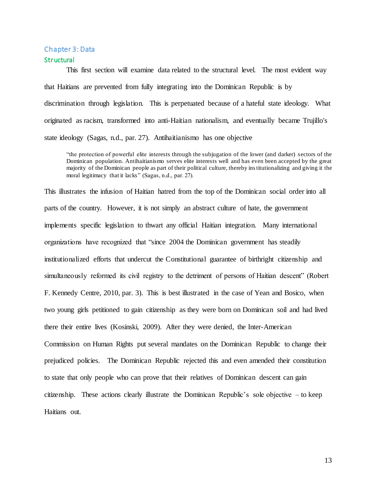#### Chapter 3: Data

### **Structural**

This first section will examine data related to the structural level. The most evident way that Haitians are prevented from fully integrating into the Dominican Republic is by discrimination through legislation. This is perpetuated because of a hateful state ideology. What originated as racism, transformed into anti-Haitian nationalism, and eventually became Trujillo's state ideology (Sagas, n.d., par. 27). Antihaitianismo has one objective

"the protection of powerful elite interests through the subjugation of the lower (and darker) sectors of the Dominican population. Antihaitianismo serves elite interests well and has even been accepted by the great majority of the Dominican people as part of their political culture, thereby institutionalizing and giving it the moral legitimacy that it lacks" (Sagas, n.d., par. 27).

This illustrates the infusion of Haitian hatred from the top of the Dominican social order into all parts of the country. However, it is not simply an abstract culture of hate, the government implements specific legislation to thwart any official Haitian integration. Many international organizations have recognized that "since 2004 the Dominican government has steadily institutionalized efforts that undercut the Constitutional guarantee of birthright citizenship and simultaneously reformed its civil registry to the detriment of persons of Haitian descent" (Robert F. Kennedy Centre, 2010, par. 3). This is best illustrated in the case of Yean and Bosico, when two young girls petitioned to gain citizenship as they were born on Dominican soil and had lived there their entire lives (Kosinski, 2009). After they were denied, the Inter-American Commission on Human Rights put several mandates on the Dominican Republic to change their prejudiced policies. The Dominican Republic rejected this and even amended their constitution to state that only people who can prove that their relatives of Dominican descent can gain citizenship. These actions clearly illustrate the Dominican Republic's sole objective – to keep Haitians out.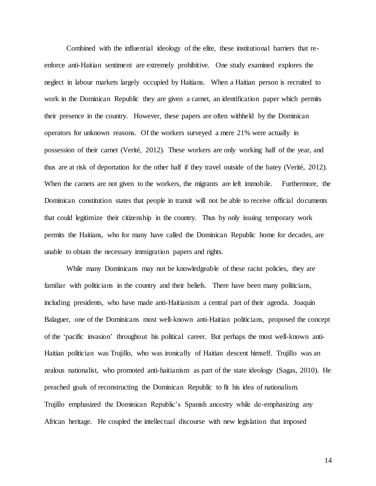Combined with the influential ideology of the elite, these institutional barriers that reenforce anti-Haitian sentiment are extremely prohibitive. One study examined explores the neglect in labour markets largely occupied by Haitians. When a Haitian person is recruited to work in the Dominican Republic they are given a carnet, an identification paper which permits their presence in the country. However, these papers are often withheld by the Dominican operators for unknown reasons. Of the workers surveyed a mere 21% were actually in possession of their carnet (Verité, 2012). These workers are only working half of the year, and thus are at risk of deportation for the other half if they travel outside of the batey (Verité, 2012). When the carnets are not given to the workers, the migrants are left immobile. Furthermore, the Dominican constitution states that people in transit will not be able to receive official documents that could legitimize their citizenship in the country. Thus by only issuing temporary work permits the Haitians, who for many have called the Dominican Republic home for decades, are unable to obtain the necessary immigration papers and rights.

While many Dominicans may not be knowledgeable of these racist policies, they are familiar with politicians in the country and their beliefs. There have been many politicians, including presidents, who have made anti-Haitianism a central part of their agenda. Joaquín Balaguer, one of the Dominicans most well-known anti-Haitian politicians, proposed the concept of the 'pacific invasion' throughout his political career. But perhaps the most well-known anti-Haitian politician was Trujillo, who was ironically of Haitian descent himself. Trujillo was an zealous nationalist, who promoted anti-haitianism as part of the state ideology (Sagas, 2010). He preached goals of reconstructing the Dominican Republic to fit his idea of nationalism. Trujillo emphasized the Dominican Republic's Spanish ancestry while de-emphasizing any African heritage. He coupled the intellectual discourse with new legislation that imposed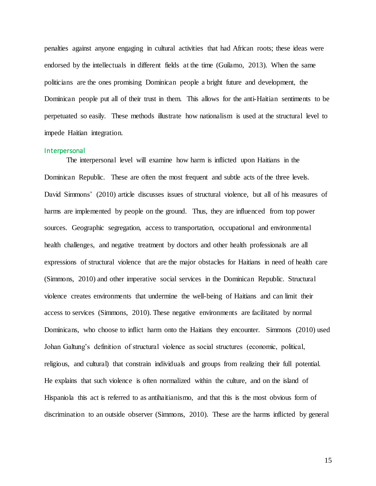penalties against anyone engaging in cultural activities that had African roots; these ideas were endorsed by the intellectuals in different fields at the time (Guilamo, 2013). When the same politicians are the ones promising Dominican people a bright future and development, the Dominican people put all of their trust in them. This allows for the anti-Haitian sentiments to be perpetuated so easily. These methods illustrate how nationalism is used at the structural level to impede Haitian integration.

### Interpersonal

The interpersonal level will examine how harm is inflicted upon Haitians in the Dominican Republic. These are often the most frequent and subtle acts of the three levels. David Simmons' (2010) article discusses issues of structural violence, but all of his measures of harms are implemented by people on the ground. Thus, they are influenced from top power sources. Geographic segregation, access to transportation, occupational and environmental health challenges, and negative treatment by doctors and other health professionals are all expressions of structural violence that are the major obstacles for Haitians in need of health care (Simmons, 2010) and other imperative social services in the Dominican Republic. Structural violence creates environments that undermine the well-being of Haitians and can limit their access to services (Simmons, 2010). These negative environments are facilitated by normal Dominicans, who choose to inflict harm onto the Haitians they encounter. Simmons (2010) used Johan Galtung's definition of structural violence as social structures (economic, political, religious, and cultural) that constrain individuals and groups from realizing their full potential. He explains that such violence is often normalized within the culture, and on the island of Hispaniola this act is referred to as antihaitianismo, and that this is the most obvious form of discrimination to an outside observer (Simmons, 2010). These are the harms inflicted by general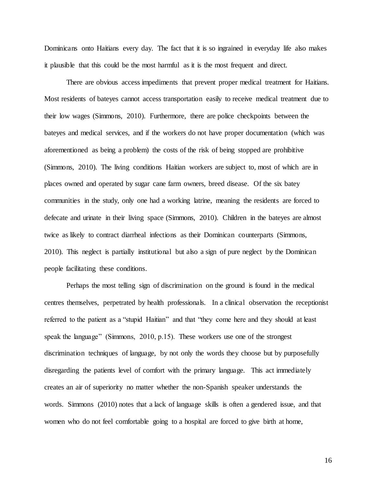Dominicans onto Haitians every day. The fact that it is so ingrained in everyday life also makes it plausible that this could be the most harmful as it is the most frequent and direct.

There are obvious access impediments that prevent proper medical treatment for Haitians. Most residents of bateyes cannot access transportation easily to receive medical treatment due to their low wages (Simmons, 2010). Furthermore, there are police checkpoints between the bateyes and medical services, and if the workers do not have proper documentation (which was aforementioned as being a problem) the costs of the risk of being stopped are prohibitive (Simmons, 2010). The living conditions Haitian workers are subject to, most of which are in places owned and operated by sugar cane farm owners, breed disease. Of the six batey communities in the study, only one had a working latrine, meaning the residents are forced to defecate and urinate in their living space (Simmons, 2010). Children in the bateyes are almost twice as likely to contract diarrheal infections as their Dominican counterparts (Simmons, 2010). This neglect is partially institutional but also a sign of pure neglect by the Dominican people facilitating these conditions.

Perhaps the most telling sign of discrimination on the ground is found in the medical centres themselves, perpetrated by health professionals. In a clinical observation the receptionist referred to the patient as a "stupid Haitian" and that "they come here and they should at least speak the language" (Simmons, 2010, p.15). These workers use one of the strongest discrimination techniques of language, by not only the words they choose but by purposefully disregarding the patients level of comfort with the primary language. This act immediately creates an air of superiority no matter whether the non-Spanish speaker understands the words. Simmons (2010) notes that a lack of language skills is often a gendered issue, and that women who do not feel comfortable going to a hospital are forced to give birth at home,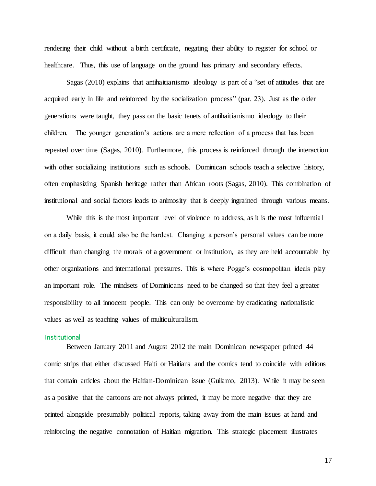rendering their child without a birth certificate, negating their ability to register for school or healthcare. Thus, this use of language on the ground has primary and secondary effects.

Sagas (2010) explains that antihaitianismo ideology is part of a "set of attitudes that are acquired early in life and reinforced by the socialization process" (par. 23). Just as the older generations were taught, they pass on the basic tenets of antihaitianismo ideology to their children. The younger generation's actions are a mere reflection of a process that has been repeated over time (Sagas, 2010). Furthermore, this process is reinforced through the interaction with other socializing institutions such as schools. Dominican schools teach a selective history, often emphasizing Spanish heritage rather than African roots (Sagas, 2010). This combination of institutional and social factors leads to animosity that is deeply ingrained through various means.

While this is the most important level of violence to address, as it is the most influential on a daily basis, it could also be the hardest. Changing a person's personal values can be more difficult than changing the morals of a government or institution, as they are held accountable by other organizations and international pressures. This is where Pogge's cosmopolitan ideals play an important role. The mindsets of Dominicans need to be changed so that they feel a greater responsibility to all innocent people. This can only be overcome by eradicating nationalistic values as well as teaching values of multiculturalism.

### **Institutional**

Between January 2011 and August 2012 the main Dominican newspaper printed 44 comic strips that either discussed Haiti or Haitians and the comics tend to coincide with editions that contain articles about the Haitian-Dominican issue (Guilamo, 2013). While it may be seen as a positive that the cartoons are not always printed, it may be more negative that they are printed alongside presumably political reports, taking away from the main issues at hand and reinforcing the negative connotation of Haitian migration. This strategic placement illustrates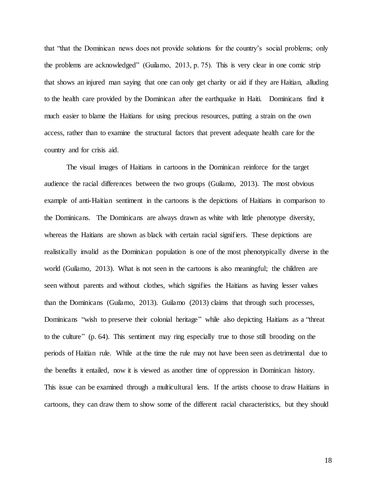that "that the Dominican news does not provide solutions for the country's social problems; only the problems are acknowledged" (Guilamo, 2013, p. 75). This is very clear in one comic strip that shows an injured man saying that one can only get charity or aid if they are Haitian, alluding to the health care provided by the Dominican after the earthquake in Haiti. Dominicans find it much easier to blame the Haitians for using precious resources, putting a strain on the own access, rather than to examine the structural factors that prevent adequate health care for the country and for crisis aid.

The visual images of Haitians in cartoons in the Dominican reinforce for the target audience the racial differences between the two groups (Guilamo, 2013). The most obvious example of anti-Haitian sentiment in the cartoons is the depictions of Haitians in comparison to the Dominicans. The Dominicans are always drawn as white with little phenotype diversity, whereas the Haitians are shown as black with certain racial signifiers. These depictions are realistically invalid as the Dominican population is one of the most phenotypically diverse in the world (Guilamo, 2013). What is not seen in the cartoons is also meaningful; the children are seen without parents and without clothes, which signifies the Haitians as having lesser values than the Dominicans (Guilamo, 2013). Guilamo (2013) claims that through such processes, Dominicans "wish to preserve their colonial heritage" while also depicting Haitians as a "threat to the culture" (p. 64). This sentiment may ring especially true to those still brooding on the periods of Haitian rule. While at the time the rule may not have been seen as detrimental due to the benefits it entailed, now it is viewed as another time of oppression in Dominican history. This issue can be examined through a multicultural lens. If the artists choose to draw Haitians in cartoons, they can draw them to show some of the different racial characteristics, but they should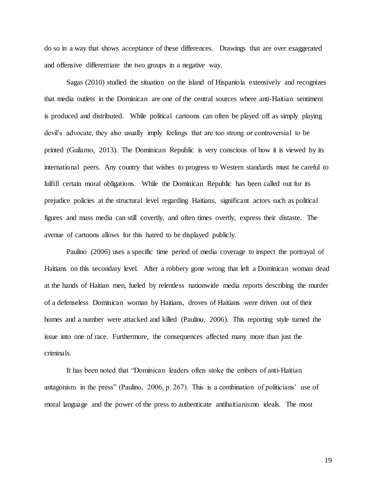do so in a way that shows acceptance of these differences. Drawings that are over exaggerated and offensive differentiate the two groups in a negative way.

Sagas (2010) studied the situation on the island of Hispaniola extensively and recognizes that media outlets in the Dominican are one of the central sources where anti-Haitian sentiment is produced and distributed. While political cartoons can often be played off as simply playing devil's advocate, they also usually imply feelings that are too strong or controversial to be printed (Guilamo, 2013). The Dominican Republic is very conscious of how it is viewed by its international peers. Any country that wishes to progress to Western standards must be careful to fulfill certain moral obligations. While the Dominican Republic has been called out for its prejudice policies at the structural level regarding Haitians, significant actors such as political figures and mass media can still covertly, and often times overtly, express their distaste. The avenue of cartoons allows for this hatred to be displayed publicly.

Paulino (2006) uses a specific time period of media coverage to inspect the portrayal of Haitians on this secondary level. After a robbery gone wrong that left a Dominican woman dead at the hands of Haitian men, fueled by relentless nationwide media reports describing the murder of a defenseless Dominican woman by Haitians, droves of Haitians were driven out of their homes and a number were attacked and killed (Paulino, 2006). This reporting style turned the issue into one of race. Furthermore, the consequences affected many more than just the criminals.

It has been noted that "Dominican leaders often stoke the embers of anti-Haitian antagonism in the press" (Paulino, 2006, p. 267). This is a combination of politicians' use of moral language and the power of the press to authenticate antihaitianismo ideals. The most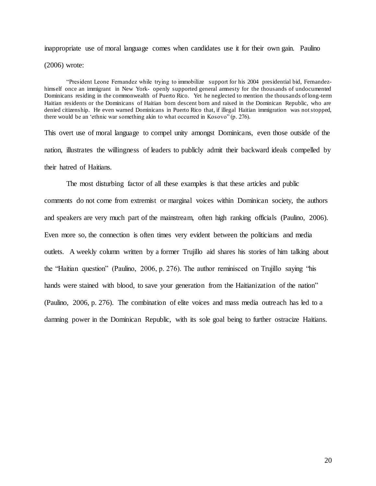inappropriate use of moral language comes when candidates use it for their own gain. Paulino

(2006) wrote:

"President Leone Fernandez while trying to immobilize support for his 2004 presidential bid, Fernandezhimself once an immigrant in New York- openly supported general amnesty for the thousands of undocumented Dominicans residing in the commonwealth of Puerto Rico. Yet he neglected to mention the thousands of long-term Haitian residents or the Dominicans of Haitian born descent born and raised in the Dominican Republic, who are denied citizenship. He even warned Dominicans in Puerto Rico that, if illegal Haitian immigration was not stopped, there would be an 'ethnic war something akin to what occurred in Kosovo" (p. 276).

This overt use of moral language to compel unity amongst Dominicans, even those outside of the nation, illustrates the willingness of leaders to publicly admit their backward ideals compelled by their hatred of Haitians.

The most disturbing factor of all these examples is that these articles and public comments do not come from extremist or marginal voices within Dominican society, the authors and speakers are very much part of the mainstream, often high ranking officials (Paulino, 2006). Even more so, the connection is often times very evident between the politicians and media outlets. A weekly column written by a former Trujillo aid shares his stories of him talking about the "Haitian question" (Paulino, 2006, p. 276). The author reminisced on Trujillo saying "his hands were stained with blood, to save your generation from the Haitianization of the nation" (Paulino, 2006, p. 276). The combination of elite voices and mass media outreach has led to a damning power in the Dominican Republic, with its sole goal being to further ostracize Haitians.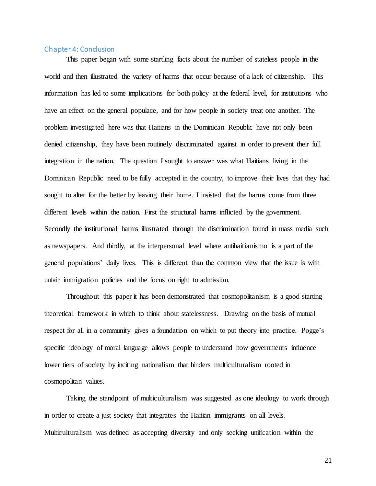## Chapter 4: Conclusion

This paper began with some startling facts about the number of stateless people in the world and then illustrated the variety of harms that occur because of a lack of citizenship. This information has led to some implications for both policy at the federal level, for institutions who have an effect on the general populace, and for how people in society treat one another. The problem investigated here was that Haitians in the Dominican Republic have not only been denied citizenship, they have been routinely discriminated against in order to prevent their full integration in the nation. The question I sought to answer was what Haitians living in the Dominican Republic need to be fully accepted in the country, to improve their lives that they had sought to alter for the better by leaving their home. I insisted that the harms come from three different levels within the nation. First the structural harms inflicted by the government. Secondly the institutional harms illustrated through the discrimination found in mass media such as newspapers. And thirdly, at the interpersonal level where antihaitianismo is a part of the general populations' daily lives. This is different than the common view that the issue is with unfair immigration policies and the focus on right to admission.

Throughout this paper it has been demonstrated that cosmopolitanism is a good starting theoretical framework in which to think about statelessness. Drawing on the basis of mutual respect for all in a community gives a foundation on which to put theory into practice. Pogge's specific ideology of moral language allows people to understand how governments influence lower tiers of society by inciting nationalism that hinders multiculturalism rooted in cosmopolitan values.

Taking the standpoint of multiculturalism was suggested as one ideology to work through in order to create a just society that integrates the Haitian immigrants on all levels. Multiculturalism was defined as accepting diversity and only seeking unification within the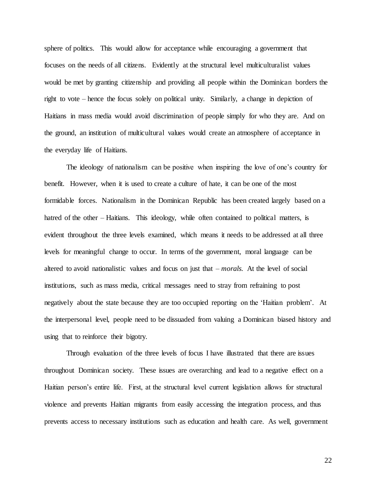sphere of politics. This would allow for acceptance while encouraging a government that focuses on the needs of all citizens. Evidently at the structural level multiculturalist values would be met by granting citizenship and providing all people within the Dominican borders the right to vote – hence the focus solely on political unity. Similarly, a change in depiction of Haitians in mass media would avoid discrimination of people simply for who they are. And on the ground, an institution of multicultural values would create an atmosphere of acceptance in the everyday life of Haitians.

The ideology of nationalism can be positive when inspiring the love of one's country for benefit. However, when it is used to create a culture of hate, it can be one of the most formidable forces. Nationalism in the Dominican Republic has been created largely based on a hatred of the other – Haitians. This ideology, while often contained to political matters, is evident throughout the three levels examined, which means it needs to be addressed at all three levels for meaningful change to occur. In terms of the government, moral language can be altered to avoid nationalistic values and focus on just that – *morals.* At the level of social institutions, such as mass media, critical messages need to stray from refraining to post negatively about the state because they are too occupied reporting on the 'Haitian problem'. At the interpersonal level, people need to be dissuaded from valuing a Dominican biased history and using that to reinforce their bigotry.

Through evaluation of the three levels of focus I have illustrated that there are issues throughout Dominican society. These issues are overarching and lead to a negative effect on a Haitian person's entire life. First, at the structural level current legislation allows for structural violence and prevents Haitian migrants from easily accessing the integration process, and thus prevents access to necessary institutions such as education and health care. As well, government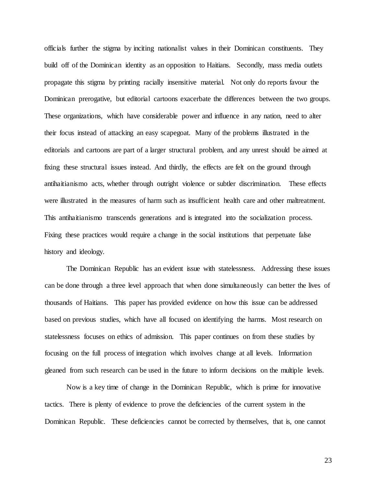officials further the stigma by inciting nationalist values in their Dominican constituents. They build off of the Dominican identity as an opposition to Haitians. Secondly, mass media outlets propagate this stigma by printing racially insensitive material. Not only do reports favour the Dominican prerogative, but editorial cartoons exacerbate the differences between the two groups. These organizations, which have considerable power and influence in any nation, need to alter their focus instead of attacking an easy scapegoat. Many of the problems illustrated in the editorials and cartoons are part of a larger structural problem, and any unrest should be aimed at fixing these structural issues instead. And thirdly, the effects are felt on the ground through antihaitianismo acts, whether through outright violence or subtler discrimination. These effects were illustrated in the measures of harm such as insufficient health care and other maltreatment. This antihaitianismo transcends generations and is integrated into the socialization process. Fixing these practices would require a change in the social institutions that perpetuate false history and ideology.

The Dominican Republic has an evident issue with statelessness. Addressing these issues can be done through a three level approach that when done simultaneously can better the lives of thousands of Haitians. This paper has provided evidence on how this issue can be addressed based on previous studies, which have all focused on identifying the harms. Most research on statelessness focuses on ethics of admission. This paper continues on from these studies by focusing on the full process of integration which involves change at all levels. Information gleaned from such research can be used in the future to inform decisions on the multiple levels.

Now is a key time of change in the Dominican Republic, which is prime for innovative tactics. There is plenty of evidence to prove the deficiencies of the current system in the Dominican Republic. These deficiencies cannot be corrected by themselves, that is, one cannot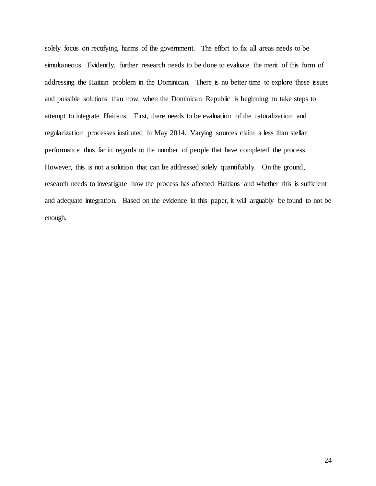solely focus on rectifying harms of the government. The effort to fix all areas needs to be simultaneous. Evidently, further research needs to be done to evaluate the merit of this form of addressing the Haitian problem in the Dominican. There is no better time to explore these issues and possible solutions than now, when the Dominican Republic is beginning to take steps to attempt to integrate Haitians. First, there needs to be evaluation of the naturalization and regularization processes instituted in May 2014. Varying sources claim a less than stellar performance thus far in regards to the number of people that have completed the process. However, this is not a solution that can be addressed solely quantifiably. On the ground, research needs to investigate how the process has affected Haitians and whether this is sufficient and adequate integration. Based on the evidence in this paper, it will arguably be found to not be enough.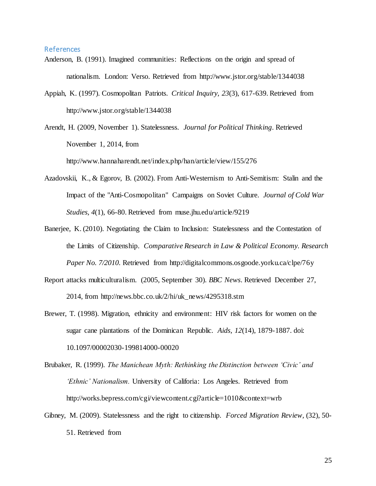# References

- Anderson, B. (1991). Imagined communities: Reflections on the origin and spread of nationalism. London: Verso. Retrieved from http://www.jstor.org/stable/1344038
- Appiah, K. (1997). Cosmopolitan Patriots. *Critical Inquiry, 23*(3), 617-639. Retrieved from http://www.jstor.org/stable/1344038
- Arendt, H. (2009, November 1). Statelessness. *Journal for Political Thinking*. Retrieved November 1, 2014, from

http://www.hannaharendt.net/index.php/han/article/view/155/276

- Azadovskii, K., & Egorov, B. (2002). From Anti-Westernism to Anti-Semitism: Stalin and the Impact of the "Anti-Cosmopolitan" Campaigns on Soviet Culture. *Journal of Cold War Studies, 4*(1), 66-80. Retrieved from muse.jhu.edu/article/9219
- Banerjee, K. (2010). Negotiating the Claim to Inclusion: Statelessness and the Contestation of the Limits of Citizenship. *Comparative Research in Law & Political Economy. Research Paper No. 7/2010.* Retrieved from http://digitalcommons.osgoode.yorku.ca/clpe/76y
- Report attacks multiculturalism. (2005, September 30). *BBC News*. Retrieved December 27, 2014, from http://news.bbc.co.uk/2/hi/uk\_news/4295318.stm
- Brewer, T. (1998). Migration, ethnicity and environment: HIV risk factors for women on the sugar cane plantations of the Dominican Republic. *Aids, 12*(14), 1879-1887. doi: 10.1097/00002030-199814000-00020
- Brubaker, R. (1999). *The Manichean Myth: Rethinking the Distinction between 'Civic' and 'Ethnic' Nationalism.* University of Califoria: Los Angeles. Retrieved from http://works.bepress.com/cgi/viewcontent.cgi?article=1010&context=wrb
- Gibney, M. (2009). Statelessness and the right to citizenship. *Forced Migration Review,* (32), 50- 51. Retrieved from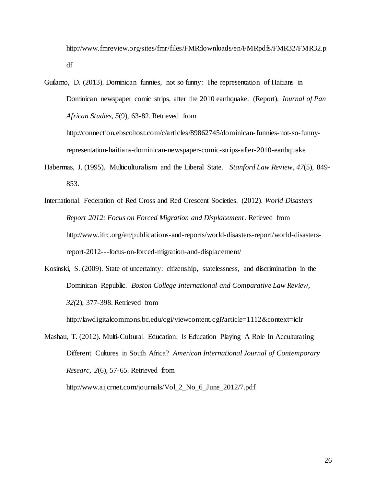http://www.fmreview.org/sites/fmr/files/FMRdownloads/en/FMRpdfs/FMR32/FMR32.p df

Guilamo, D. (2013). Dominican funnies, not so funny: The representation of Haitians in Dominican newspaper comic strips, after the 2010 earthquake. (Report). *Journal of Pan African Studies, 5*(9), 63-82. Retrieved from

http://connection.ebscohost.com/c/articles/89862745/dominican-funnies-not-so-funnyrepresentation-haitians-dominican-newspaper-comic-strips-after-2010-earthquake

- Habermas, J. (1995). Multiculturalism and the Liberal State. *Stanford Law Review, 47*(5), 849- 853.
- International Federation of Red Cross and Red Crescent Societies. (2012). *World Disasters Report 2012: Focus on Forced Migration and Displacement*. Retieved from http://www.ifrc.org/en/publications-and-reports/world-disasters-report/world-disastersreport-2012---focus-on-forced-migration-and-displacement/
- Kosinski, S. (2009). State of uncertainty: citizenship, statelessness, and discrimination in the Dominican Republic. *Boston College International and Comparative Law Review, 32(*2), 377-398. Retrieved from

http://lawdigitalcommons.bc.edu/cgi/viewcontent.cgi?article=1112&context=iclr

Mashau, T. (2012). Multi-Cultural Education: Is Education Playing A Role In Acculturating Different Cultures in South Africa? *American International Journal of Contemporary Researc, 2*(6), 57-65. Retrieved from

http://www.aijcrnet.com/journals/Vol\_2\_No\_6\_June\_2012/7.pdf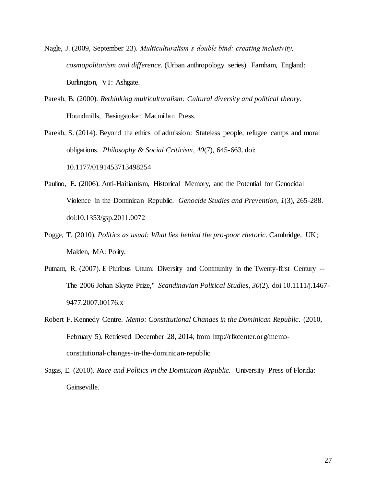- Nagle, J. (2009, September 23). *Multiculturalism's double bind: creating inclusivity, cosmopolitanism and difference.* (Urban anthropology series). Farnham, England; Burlington, VT: Ashgate.
- Parekh, B. (2000). *Rethinking multiculturalism: Cultural diversity and political theory*. Houndmills, Basingstoke: Macmillan Press.

Parekh, S. (2014). Beyond the ethics of admission: Stateless people, refugee camps and moral obligations. *Philosophy & Social Criticism, 40*(7), 645-663. doi: 10.1177/0191453713498254

- Paulino, E. (2006). Anti-Haitianism, Historical Memory, and the Potential for Genocidal Violence in the Dominican Republic. *Genocide Studies and Prevention, 1*(3), 265-288. doi:10.1353/gsp.2011.0072
- Pogge, T. (2010). *Politics as usual: What lies behind the pro-poor rhetoric*. Cambridge, UK; Malden, MA: Polity.
- Putnam, R. (2007). E Pluribus Unum: Diversity and Community in the Twenty-first Century -- The 2006 Johan Skytte Prize," *Scandinavian Political Studies, 30*(2). doi 10.1111/j.1467- 9477.2007.00176.x
- Robert F. Kennedy Centre. *Memo: Constitutional Changes in the Dominican Republic*. (2010, February 5). Retrieved December 28, 2014, from http://rfkcenter.org/memoconstitutional-changes-in-the-dominican-republic
- Sagas, E. (2010). *Race and Politics in the Dominican Republic.* University Press of Florida: Gainseville.